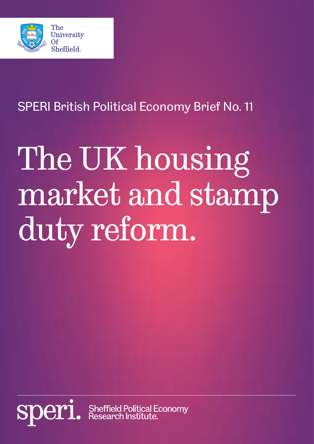

SPERI British Political Economy Brief No. 11

# The UK housing market and stamp duty reform.

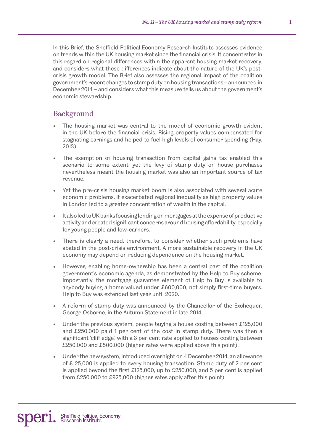In this Brief, the Sheffield Political Economy Research Institute assesses evidence on trends within the UK housing market since the financial crisis. It concentrates in this regard on regional differences within the apparent housing market recovery, and considers what these differences indicate about the nature of the UK's postcrisis growth model. The Brief also assesses the regional impact of the coalition government's recent changes to stamp duty on housing transactions – announced in December 2014 – and considers what this measure tells us about the government's economic stewardship.

## Background

- The housing market was central to the model of economic growth evident in the UK before the financial crisis. Rising property values compensated for stagnating earnings and helped to fuel high levels of consumer spending (Hay, 2013).
- The exemption of housing transaction from capital gains tax enabled this scenario to some extent, yet the levy of stamp duty on house purchases nevertheless meant the housing market was also an important source of tax revenue.
- Yet the pre-crisis housing market boom is also associated with several acute economic problems. It exacerbated regional inequality as high property values in London led to a greater concentration of wealth in the capital.
- It also led to UK banks focusing lending on mortgages at the expense of productive activity and created significant concerns around housing affordability, especially for young people and low-earners.
- There is clearly a need, therefore, to consider whether such problems have abated in the post-crisis environment. A more sustainable recovery in the UK economy may depend on reducing dependence on the housing market.
- However, enabling home-ownership has been a central part of the coalition government's economic agenda, as demonstrated by the Help to Buy scheme. Importantly, the mortgage guarantee element of Help to Buy is available to anybody buying a home valued under £600,000, not simply first-time buyers. Help to Buy was extended last year until 2020.
- A reform of stamp duty was announced by the Chancellor of the Exchequer, George Osborne, in the Autumn Statement in late 2014.
- Under the previous system, people buying a house costing between £125,000 and £250,000 paid 1 per cent of the cost in stamp duty. There was then a significant 'cliff edge', with a 3 per cent rate applied to houses costing between £250,000 and £500,000 (higher rates were applied above this point).
- Under the new system, introduced overnight on 4 December 2014, an allowance of £125,000 is applied to every housing transaction. Stamp duty of 2 per cent is applied beyond the first £125,000, up to £250,000, and 5 per cent is applied from £250,000 to £925,000 (higher rates apply after this point).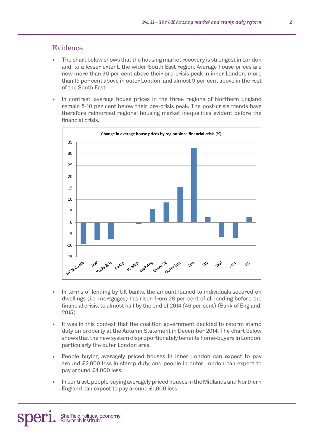## Evidence

- The chart below shows that the housing market recovery is strongest in London and, to a lesser extent, the wider South East region. Average house prices are now more than 30 per cent above their pre-crisis peak in inner London, more than 15 per cent above in outer London, and almost 9 per cent above in the rest of the South East.
- In contrast, average house prices in the three regions of Northern England remain 5-10 per cent below their pre-crisis peak. The post-crisis trends have therefore reinforced regional housing market inequalities evident before the financial crisis.



- In terms of lending by UK banks, the amount loaned to individuals secured on dwellings (i.e. mortgages) has risen from 28 per cent of all lending before the financial crisis, to almost half by the end of 2014 (46 per cent) (Bank of England, 2015).
- It was in this context that the coalition government decided to reform stamp duty on property at the Autumn Statement in December 2014. The chart below shows that the new system disproportionately benefits home-buyers in London, particularly the outer London area.
- People buying averagely priced houses in inner London can expect to pay around £2,000 less in stamp duty, and people in outer London can expect to pay around £4,000 less.
- In contrast, people buying averagely priced houses in the Midlands and Northern England can expect to pay around £1,000 less.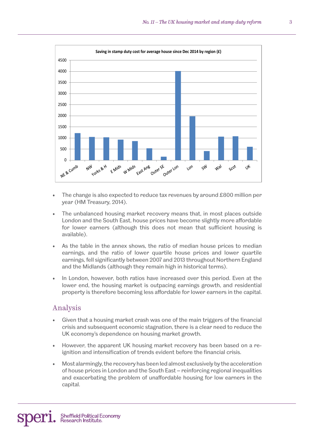

- The change is also expected to reduce tax revenues by around £800 million per year (HM Treasury, 2014).
- The unbalanced housing market recovery means that, in most places outside London and the South East, house prices have become slightly more affordable for lower earners (although this does not mean that sufficient housing is available).
- As the table in the annex shows, the ratio of median house prices to median earnings, and the ratio of lower quartile house prices and lower quartile earnings, fell significantly between 2007 and 2013 throughout Northern England and the Midlands (although they remain high in historical terms).
- In London, however, both ratios have increased over this period. Even at the lower end, the housing market is outpacing earnings growth, and residential property is therefore becoming less affordable for lower earners in the capital.

#### Analysis

- Given that a housing market crash was one of the main triggers of the financial crisis and subsequent economic stagnation, there is a clear need to reduce the UK economy's dependence on housing market growth.
- However, the apparent UK housing market recovery has been based on a reignition and intensification of trends evident before the financial crisis.
- Most alarmingly, the recovery has been led almost exclusively by the acceleration of house prices in London and the South East – reinforcing regional inequalities and exacerbating the problem of unaffordable housing for low earners in the capital.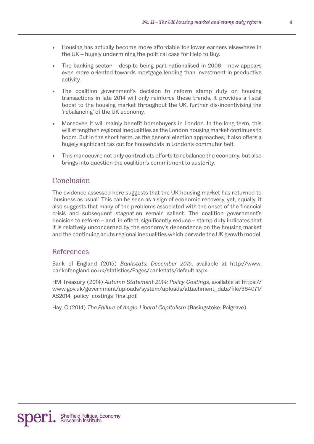- Housing has actually become more affordable for lower earners elsewhere in the UK – hugely undermining the political case for Help to Buy.
- The banking sector  $-$  despite being part-nationalised in 2008  $-$  now appears even more oriented towards mortgage lending than investment in productive activity.
- The coalition government's decision to reform stamp duty on housing transactions in late 2014 will only reinforce these trends. It provides a fiscal boost to the housing market throughout the UK, further dis-incentivising the 'rebalancing' of the UK economy.
- Moreover, it will mainly benefit homebuyers in London. In the long term, this will strengthen regional inequalities as the London housing market continues to boom. But in the short term, as the general election approaches, it also offers a hugely significant tax cut for households in London's commuter belt.
- This manoeuvre not only contradicts efforts to rebalance the economy, but also brings into question the coalition's commitment to austerity.

# Conclusion

The evidence assessed here suggests that the UK housing market has returned to 'business as usual'. This can be seen as a sign of economic recovery, yet, equally, it also suggests that many of the problems associated with the onset of the financial crisis and subsequent stagnation remain salient. The coalition government's decision to reform – and, in effect, significantly reduce – stamp duty indicates that it is relatively unconcerned by the economy's dependence on the housing market and the continuing acute regional inequalities which pervade the UK growth model.

# **References**

Bank of England (2015) *Bankstats: December 2015*, available at http://www. bankofengland.co.uk/statistics/Pages/bankstats/default.aspx.

HM Treasury (2014) *Autumn Statement 2014: Policy Costings*, available at https:// www.gov.uk/government/uploads/system/uploads/attachment\_data/file/384071/ AS2014 policy costings final.pdf.

Hay, C (2014) *The Failure of Anglo-Liberal Capitalism* (Basingstoke: Palgrave).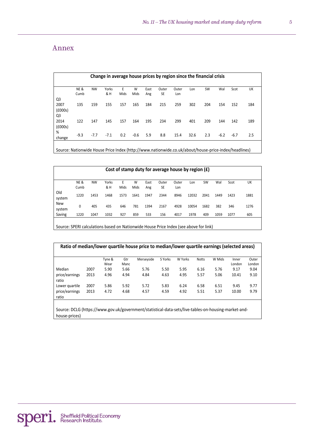#### Annex

|                                   | Change in average house prices by region since the financial crisis |           |              |           |           |             |                    |              |      |           |        |        |     |
|-----------------------------------|---------------------------------------------------------------------|-----------|--------------|-----------|-----------|-------------|--------------------|--------------|------|-----------|--------|--------|-----|
|                                   | <b>NE&amp;</b><br>Cumb                                              | <b>NW</b> | Yorks<br>& H | E<br>Mids | W<br>Mids | East<br>Ang | Outer<br><b>SE</b> | Outer<br>Lon | Lon  | <b>SW</b> | Wal    | Scot   | UK  |
| Q <sub>3</sub><br>2007<br>(£000s) | 135                                                                 | 159       | 155          | 157       | 165       | 184         | 215                | 259          | 302  | 204       | 154    | 152    | 184 |
| Q <sub>3</sub><br>2014<br>(£000s) | 122                                                                 | 147       | 145          | 157       | 164       | 195         | 234                | 299          | 401  | 209       | 144    | 142    | 189 |
| %<br>change                       | $-9.3$                                                              | $-7.7$    | $-7.1$       | 0.2       | $-0.6$    | 5.9         | 8.8                | 15.4         | 32.6 | 2.3       | $-6.2$ | $-6.7$ | 2.5 |
|                                   |                                                                     |           |              |           |           |             |                    |              |      |           |        |        |     |

Source: Nationwide House Price Index (http://www.nationwide.co.uk/about/house-price-index/headlines)

| Cost of stamp duty for average house by region $(f)$ |                        |           |              |           |           |             |             |              |       |           |      |      |      |
|------------------------------------------------------|------------------------|-----------|--------------|-----------|-----------|-------------|-------------|--------------|-------|-----------|------|------|------|
|                                                      | <b>NE&amp;</b><br>Cumb | <b>NW</b> | Yorks<br>& H | E<br>Mids | W<br>Mids | East<br>Ang | Outer<br>SE | Outer<br>Lon | Lon   | <b>SW</b> | Wal  | Scot | UK   |
| Old<br>system                                        | 1220                   | 1453      | 1468         | 1573      | 1641      | 1947        | 2344        | 8946         | 12032 | 2041      | 1449 | 1423 | 1881 |
| <b>New</b><br>system                                 | 0                      | 405       | 435          | 646       | 781       | 1394        | 2167        | 4928         | 10054 | 1682      | 382  | 346  | 1276 |
| Saving                                               | 1220                   | 1047      | 1032         | 927       | 859       | 533         | 156         | 4017         | 1978  | 409       | 1059 | 1077 | 605  |

Source: SPERI calculations based on Nationwide House Price Index (see above for link)

| Ratio of median/lower quartile house price to median/lower quartile earnings (selected areas) |      |                |             |            |         |         |              |        |                 |                 |  |  |
|-----------------------------------------------------------------------------------------------|------|----------------|-------------|------------|---------|---------|--------------|--------|-----------------|-----------------|--|--|
|                                                                                               |      | Tyne &<br>Wear | Gtr<br>Manc | Merseyside | S Yorks | W Yorks | <b>Notts</b> | W Mids | Inner<br>London | Outer<br>London |  |  |
| Median                                                                                        | 2007 | 5.90           | 5.66        | 5.76       | 5.50    | 5.95    | 6.16         | 5.76   | 9.17            | 9.04            |  |  |
| price/earnings<br>ratio                                                                       | 2013 | 4.96           | 4.94        | 4.84       | 4.63    | 4.95    | 5.57         | 5.06   | 10.41           | 9.10            |  |  |
| Lower quartile                                                                                | 2007 | 5.86           | 5.92        | 5.72       | 5.83    | 6.24    | 6.58         | 6.51   | 9.45            | 9.77            |  |  |
| price/earnings<br>ratio                                                                       | 2013 | 4.72           | 4.68        | 4.57       | 4.59    | 4.92    | 5.51         | 5.37   | 10.00           | 9.79            |  |  |
|                                                                                               |      |                |             |            |         |         |              |        |                 |                 |  |  |

Source: DCLG (https://www.gov.uk/government/statistical-data-sets/live-tables-on-housing-market-andhouse-prices)